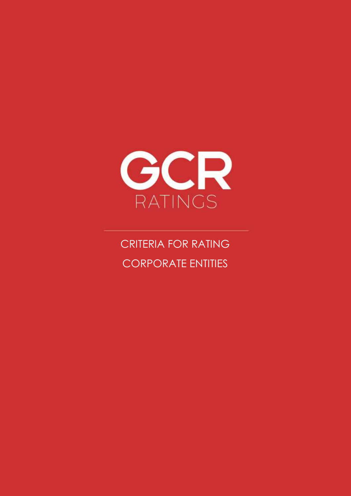

CRITERIA FOR RATING CORPORATE ENTITIES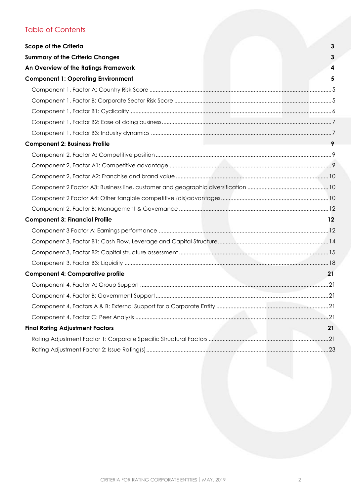# Table of Contents

| <b>Scope of the Criteria</b>              | 3       |
|-------------------------------------------|---------|
| <b>Summary of the Criteria Changes</b>    | 3       |
| An Overview of the Ratings Framework      | 4       |
| <b>Component 1: Operating Environment</b> | 5       |
|                                           |         |
|                                           |         |
|                                           |         |
|                                           |         |
|                                           |         |
| <b>Component 2: Business Profile</b>      | 9       |
|                                           |         |
|                                           |         |
|                                           |         |
|                                           |         |
|                                           |         |
|                                           |         |
| <b>Component 3: Financial Profile</b>     | $12 \,$ |
|                                           |         |
|                                           |         |
|                                           |         |
|                                           |         |
| <b>Component 4: Comparative profile</b>   | 21      |
|                                           |         |
|                                           |         |
|                                           |         |
|                                           |         |
| <b>Final Rating Adjustment Factors</b>    | 21      |
|                                           |         |
|                                           |         |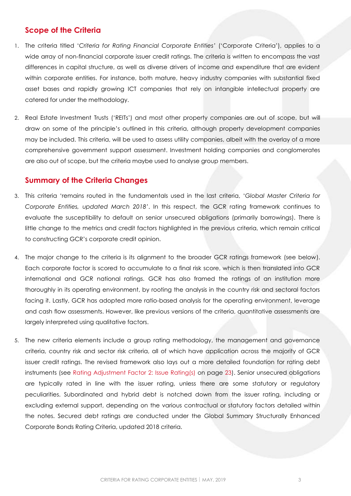# <span id="page-2-0"></span>**Scope of the Criteria**

- 1. The criteria titled '*Criteria for Rating Financial Corporate Entities'* ('Corporate Criteria'), applies to a wide array of non-financial corporate issuer credit ratings. The criteria is written to encompass the vast differences in capital structure, as well as diverse drivers of income and expenditure that are evident within corporate entities. For instance, both mature, heavy industry companies with substantial fixed asset bases and rapidly growing ICT companies that rely on intangible intellectual property are catered for under the methodology.
- 2. Real Estate Investment Trusts ('REITs') and most other property companies are out of scope, but will draw on some of the principle's outlined in this criteria, although property development companies may be included. This criteria, will be used to assess utility companies, albeit with the overlay of a more comprehensive government support assessment. Investment holding companies and conglomerates are also out of scope, but the criteria maybe used to analyse group members.

# <span id="page-2-1"></span>**Summary of the Criteria Changes**

- 3. This criteria 'remains routed in the fundamentals used in the last criteria, '*Global Master Criteria for Corporate Entities, updated March 2018'*. In this respect, the GCR rating framework continues to evaluate the susceptibility to default on senior unsecured obligations (primarily borrowings). There is little change to the metrics and credit factors highlighted in the previous criteria, which remain critical to constructing GCR's corporate credit opinion.
- 4. The major change to the criteria is its alignment to the broader GCR ratings framework (see below). Each corporate factor is scored to accumulate to a final risk score, which is then translated into GCR international and GCR national ratings. GCR has also framed the ratings of an institution more thoroughly in its operating environment, by rooting the analysis in the country risk and sectoral factors facing it. Lastly, GCR has adopted more ratio-based analysis for the operating environment, leverage and cash flow assessments. However, like previous versions of the criteria, quantitative assessments are largely interpreted using qualitative factors.
- <span id="page-2-2"></span>5. The new criteria elements include a group rating methodology, the management and governance criteria, country risk and sector risk criteria, all of which have application across the majority of GCR issuer credit ratings. The revised framework also lays out a more detailed foundation for rating debt instruments (see [Rating Adjustment Factor 2:](#page-22-0) Issue Rating(s) on page [23\)](#page-22-0). Senior unsecured obligations are typically rated in line with the issuer rating, unless there are some statutory or regulatory peculiarities. Subordinated and hybrid debt is notched down from the issuer rating, including or excluding external support, depending on the various contractual or statutory factors detailed within the notes. Secured debt ratings are conducted under the Global Summary Structurally Enhanced Corporate Bonds Rating Criteria, updated 2018 criteria.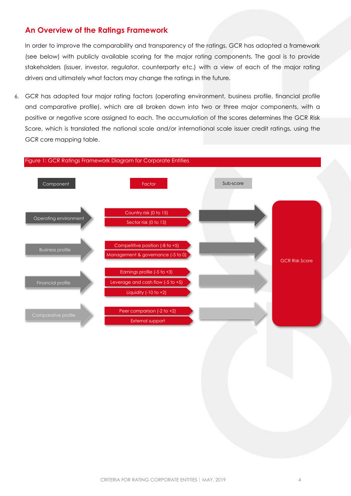# **An Overview of the Ratings Framework**

In order to improve the comparability and transparency of the ratings, GCR has adopted a framework (see below) with publicly available scoring for the major rating components. The goal is to provide stakeholders (issuer, investor, regulator, counterparty etc.) with a view of each of the major rating drivers and ultimately what factors may change the ratings in the future.

6. GCR has adopted four major rating factors (operating environment, business profile, financial profile and comparative profile), which are all broken down into two or three major components, with a positive or negative score assigned to each. The accumulation of the scores determines the GCR Risk Score, which is translated the national scale and/or international scale issuer credit ratings, using the GCR core mapping table.

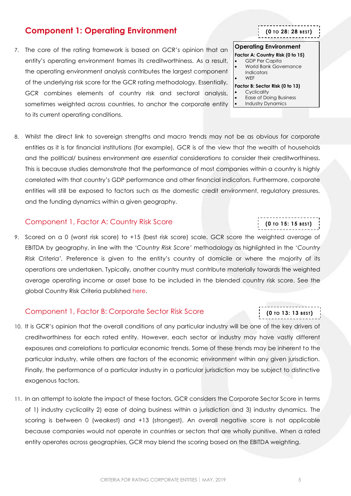8. Whilst the direct link to sovereign strengths and macro trends may not be as obvious for corporate entities as it is for financial institutions (for example), GCR is of the view that the wealth of households and the political/ business environment are *essential* considerations to consider their creditworthiness. This is because studies demonstrate that the performance of most companies within a country is highly correlated with that country's GDP performance and other financial indicators. Furthermore, corporate entities will still be exposed to factors such as the domestic credit environment, regulatory pressures, and the funding dynamics within a given geography.

### <span id="page-4-1"></span>Component 1, Factor A: Country Risk Score

9. Scored on a 0 (worst risk score) to +15 (best risk score) scale. GCR score the weighted average of EBITDA by geography, in line with the *'Country Risk Score'* methodology as highlighted in the '*Country Risk Criteria'.* Preference is given to the entity's country of domicile or where the majority of its operations are undertaken. Typically, another country must contribute materially towards the weighted average operating income or asset base to be included in the blended country risk score. See the global Country Risk Criteria published [here.](http://gcrratings.com/criteria)

#### <span id="page-4-2"></span>Component 1, Factor B: Corporate Sector Risk Score

- 10. It is GCR's opinion that the overall conditions of any particular industry will be one of the key drivers of creditworthiness for each rated entity. However, each sector or industry may have vastly different exposures and correlations to particular economic trends. Some of these trends may be inherent to the particular industry, while others are factors of the economic environment within any given jurisdiction. Finally, the performance of a particular industry in a particular jurisdiction may be subject to distinctive exogenous factors.
- 11. In an attempt to isolate the impact of these factors, GCR considers the Corporate Sector Score in terms of 1) industry cyclicality 2) ease of doing business within a jurisdiction and 3) industry dynamics. The scoring is between 0 (weakest) and +13 (strongest). An overall negative score is not applicable because companies would not operate in countries or sectors that are wholly punitive. When a rated entity operates across geographies, GCR may blend the scoring based on the EBITDA weighting.

# <span id="page-4-0"></span>**Component 1: Operating Environment**

7. The core of the rating framework is based on GCR's opinion that an entity's operating environment frames its creditworthiness. As a result, the operating environment analysis contributes the largest component of the underlying risk score for the GCR rating methodology. Essentially, GCR combines elements of country risk and sectoral analysis, sometimes weighted across countries, to anchor the corporate entity to its current operating conditions.

#### **Operating Environment**

**(0 TO 28: 28 BEST)**

#### **Factor A: Country Risk (0 to 15)**

- GDP Per Capita
- World Bank Governance **Indicators**
- **WFF**

# **Factor B: Sector Risk (0 to 13)**

- **Cyclicality**
- Ease of Doing Business
- Industry Dynamics

**(0 TO 13: 13 BEST)**

. . . . . . . . . . . . . . . . . . .

# **(0 TO 15: 15 BEST)**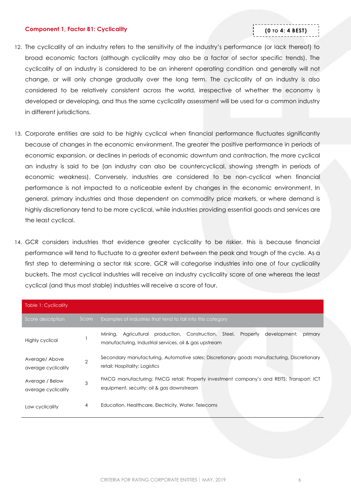#### <span id="page-5-0"></span>**Component 1, Factor B1: Cyclicality**

# **(0 TO 4: 4 BEST)**

- 12. The cyclicality of an industry refers to the sensitivity of the industry's performance (or lack thereof) to broad economic factors (although cyclicality may also be a factor of sector specific trends). The cyclicality of an industry is considered to be an inherent operating condition and generally will not change, or will only change gradually over the long term. The cyclicality of an industry is also considered to be relatively consistent across the world, irrespective of whether the economy is developed or developing, and thus the same cyclicality assessment will be used for a common industry in different jurisdictions.
- 13. Corporate entities are said to be highly cyclical when financial performance fluctuates significantly because of changes in the economic environment. The greater the positive performance in periods of economic expansion, or declines in periods of economic downturn and contraction, the more cyclical an industry is said to be (an industry can also be countercyclical, showing strength in periods of economic weakness). Conversely, industries are considered to be non-cyclical when financial performance is not impacted to a noticeable extent by changes in the economic environment. In general, primary industries and those dependent on commodity price markets, or where demand is highly discretionary tend to be more cyclical, while industries providing essential goods and services are the least cyclical.
- 14. GCR considers industries that evidence greater cyclicality to be riskier, this is because financial performance will tend to fluctuate to a greater extent between the peak and trough of the cycle. As a first step to determining a sector risk score. GCR will categorise industries into one of four cyclicality buckets. The most cyclical industries will receive an industry cyclicality score of one whereas the least cyclical (and thus most stable) industries will receive a score of four.

| <b>Table 1: Cyclicality</b>            |                |                                                                                                                                                           |
|----------------------------------------|----------------|-----------------------------------------------------------------------------------------------------------------------------------------------------------|
| Score description                      | Score,         | Examples of industries that tend to fall into this category                                                                                               |
| <b>Highly cyclical</b>                 |                | production, Construction, Steel, Property<br>development;<br>Agricultural<br>primary<br>Mining,<br>manufacturing, Industrial services, oil & gas upstream |
| Average/Above<br>average cyclicality   | $\overline{2}$ | Secondary manufacturing, Automotive sales; Discretionary goods manufacturing, Discretionary<br>retail; Hospitality; Logistics                             |
| Average / Below<br>average cyclicality | 3              | FMCG manufacturing; FMCG retail; Property investment company's and REITS; Transport; ICT<br>equipment, security; oil & gas downstream                     |
| Low cyclicality                        | 4              | Education, Healthcare, Electricity, Water, Telecoms                                                                                                       |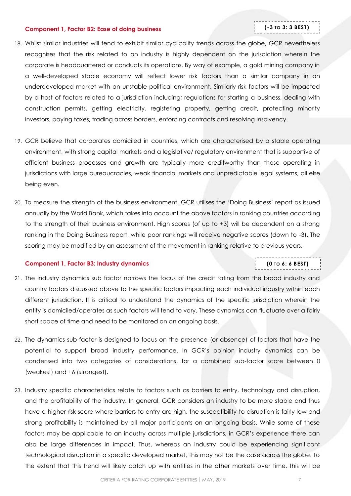#### <span id="page-6-0"></span>**Component 1, Factor B2: Ease of doing business**

# **(-3 TO 3: 3 BEST)**

- 18. Whilst similar industries will tend to exhibit similar cyclicality trends across the globe, GCR nevertheless recognises that the risk related to an industry is highly dependent on the jurisdiction wherein the corporate is headquartered or conducts its operations. By way of example, a gold mining company in a well-developed stable economy will reflect lower risk factors than a similar company in an underdeveloped market with an unstable political environment. Similarly risk factors will be impacted by a host of factors related to a jurisdiction including; regulations for starting a business, dealing with construction permits, getting electricity, registering property, getting credit, protecting minority investors, paying taxes, trading across borders, enforcing contracts and resolving insolvency.
- 19. GCR believe that corporates domiciled in countries, which are characterised by a stable operating environment, with strong capital markets and a legislative/ regulatory environment that is supportive of efficient business processes and growth are typically more creditworthy than those operating in jurisdictions with large bureaucracies, weak financial markets and unpredictable legal systems, all else being even.
- 20. To measure the strength of the business environment, GCR utilises the 'Doing Business' report as issued annually by the World Bank, which takes into account the above factors in ranking countries according to the strength of their business environment. High scores (of up to +3) will be dependent on a strong ranking in the Doing Business report, while poor rankings will receive negative scores (down to -3). The scoring may be modified by an assessment of the movement in ranking relative to previous years.

#### <span id="page-6-1"></span>**Component 1, Factor B3: Industry dynamics**

# **(0 TO 6: 6 BEST)**

- 21. The industry dynamics sub factor narrows the focus of the credit rating from the broad industry and country factors discussed above to the specific factors impacting each individual industry within each different jurisdiction. It is critical to understand the dynamics of the specific jurisdiction wherein the entity is domiciled/operates as such factors will tend to vary. These dynamics can fluctuate over a fairly short space of time and need to be monitored on an ongoing basis.
- 22. The dynamics sub-factor is designed to focus on the presence (or absence) of factors that have the potential to support broad industry performance. In GCR's opinion industry dynamics can be condensed into two categories of considerations, for a combined sub-factor score between 0 (weakest) and +6 (strongest).
- 23. Industry specific characteristics relate to factors such as barriers to entry, technology and disruption, and the profitability of the industry. In general, GCR considers an industry to be more stable and thus have a higher risk score where barriers to entry are high, the susceptibility to disruption is fairly low and strong profitability is maintained by all major participants on an ongoing basis. While some of these factors may be applicable to an industry across multiple jurisdictions, in GCR's experience there can also be large differences in impact. Thus, whereas an industry could be experiencing significant technological disruption in a specific developed market, this may not be the case across the globe. To the extent that this trend will likely catch up with entities in the other markets over time, this will be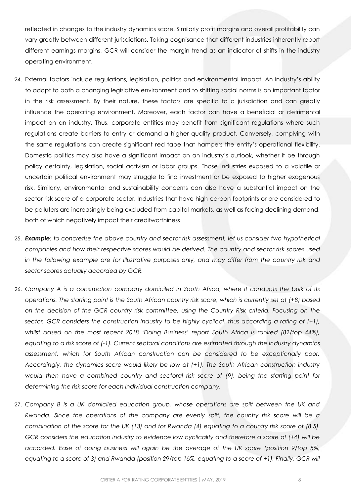reflected in changes to the industry dynamics score. Similarly profit margins and overall profitability can vary greatly between different jurisdictions. Taking cognisance that different industries inherently report different earnings margins, GCR will consider the margin trend as an indicator of shifts in the industry operating environment.

- 24. External factors include regulations, legislation, politics and environmental impact. An industry's ability to adapt to both a changing legislative environment and to shifting social norms is an important factor in the risk assessment. By their nature, these factors are specific to a jurisdiction and can greatly influence the operating environment. Moreover, each factor can have a beneficial or detrimental impact on an industry. Thus, corporate entities may benefit from significant regulations where such regulations create barriers to entry or demand a higher quality product. Conversely, complying with the same regulations can create significant red tape that hampers the entity's operational flexibility. Domestic politics may also have a significant impact on an industry's outlook, whether it be through policy certainty, legislation, social activism or labor groups. Those industries exposed to a volatile or uncertain political environment may struggle to find investment or be exposed to higher exogenous risk. Similarly, environmental and sustainability concerns can also have a substantial impact on the sector risk score of a corporate sector. Industries that have high carbon footprints or are considered to be polluters are increasingly being excluded from capital markets, as well as facing declining demand, both of which negatively impact their creditworthiness
- 25. *Example: to concretise the above country and sector risk assessment, let us consider two hypothetical companies and how their respective scores would be derived. The country and sector risk scores used in the following example are for illustrative purposes only, and may differ from the country risk and sector scores actually accorded by GCR.*
- 26. *Company A is a construction company domiciled in South Africa, where it conducts the bulk of its operations. The starting point is the South African country risk score, which is currently set at (+8) based on the decision of the GCR country risk committee, using the Country Risk criteria. Focusing on the sector, GCR considers the construction industry to be highly cyclical, thus according a rating of (+1), whilst based on the most recent 2018 'Doing Business' report South Africa is ranked (82/top 44%), equating to a risk score of (-1). Current sectoral conditions are estimated through the industry dynamics assessment, which for South African construction can be considered to be exceptionally poor. Accordingly, the dynamics score would likely be low at (+1). The South African construction industry would then have a combined country and sectoral risk score of (9), being the starting point for determining the risk score for each individual construction company.*
- 27. *Company B is a UK domiciled education group, whose operations are split between the UK and Rwanda. Since the operations of the company are evenly split, the country risk score will be a combination of the score for the UK (13) and for Rwanda (4) equating to a country risk score of (8.5). GCR considers the education industry to evidence low cyclicality and therefore a score of (+4) will be accorded. Ease of doing business will again be the average of the UK score (position 9/top 5%, equating to a score of 3) and Rwanda (position 29/top 16%, equating to a score of +1). Finally, GCR will*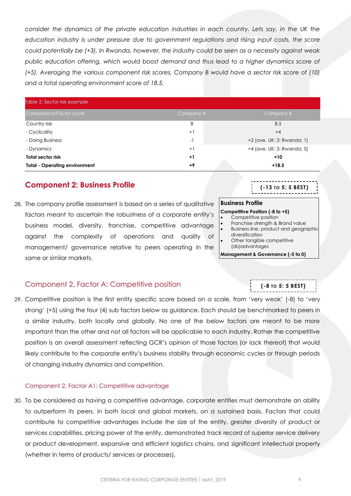consider the dynamics of the private education industries in each country. Lets say, in the UK the *education industry is under pressure due to government regulations and rising input costs, the score could potentially be (+3). In Rwanda, however, the industry could be seen as a necessity against weak*  public education offering, which would boost demand and thus lead to a higher dynamics score of *(+5). Averaging the various component risk scores, Company B would have a sector risk score of (10) and a total operating environment score of 18.5.*

| Table 2: Sector risk example         |           |                            |
|--------------------------------------|-----------|----------------------------|
| Component/Factor score               | Company A | Company B                  |
| Country risk                         | 8         | 8.5                        |
| - Cyclicality                        | $+1$      | $+4$                       |
| - Doing Business                     | $-1$      | +2 (ave. UK: 3; Rwanda: 1) |
| - Dynamics                           | $+1$      | +4 (ave. UK: 3; Rwanda: 5) |
| <b>Total sector risk</b>             | $+1$      | $+10$                      |
| <b>Total - Operating environment</b> | $+9$      | $+18.5$                    |

# <span id="page-8-0"></span>**Component 2: Business Profile**

28. The company profile assessment is based on a series of qualitative factors meant to ascertain the robustness of a corporate entity's business model, diversity, franchise, competitive advantage against the complexity of operations and quality of management/ governance relative to peers operating in the same or similar markets.

# <span id="page-8-1"></span>Component 2, Factor A: Competitive position

29. Competitive position is the first entity specific score based on a scale, from 'very weak' (-8) to 'very strong' (+5) using the four (4) sub factors below as guidance. Each should be benchmarked to peers in a similar industry, both locally and globally. No one of the below factors are meant to be more important than the other and not all factors will be applicable to each industry. Rather the competitive position is an overall assessment reflecting GCR's opinion of those factors (or lack thereof) that would likely contribute to the corporate entity's business stability through economic cycles or through periods of changing industry dynamics and competition.

# <span id="page-8-2"></span>Component 2, Factor A1: Competitive advantage

30. To be considered as having a competitive advantage, corporate entities must demonstrate an ability to outperform its peers, in both local and global markets, on a sustained basis. Factors that could contribute to competitive advantages include the size of the entity, greater diversity of product or services capabilities, pricing power of the entity, demonstrated track record of superior service delivery or product development, expansive and efficient logistics chains, and significant intellectual property (whether in terms of products/ services or processes).

### **Business Profile**

### **Competitive Position (-8 to +5)**

- Competitive position
- Franchise strength & Brand value
- Business line, product and geographic diversification
- Other tangible competitive (dis)advantages

**Management & Governance (-5 to 0)**

**(-8 TO 5: 5 BEST)**

**(-13 TO 5: 5 BEST)**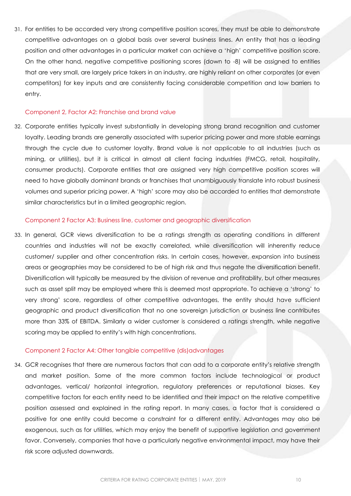31. For entities to be accorded very strong competitive position scores, they must be able to demonstrate competitive advantages on a global basis over several business lines. An entity that has a leading position and other advantages in a particular market can achieve a 'high' competitive position score. On the other hand, negative competitive positioning scores (down to -8) will be assigned to entities that are very small, are largely price takers in an industry, are highly reliant on other corporates (or even competitors) for key inputs and are consistently facing considerable competition and low barriers to entry.

#### <span id="page-9-0"></span>Component 2, Factor A2: Franchise and brand value

32. Corporate entities typically invest substantially in developing strong brand recognition and customer loyalty. Leading brands are generally associated with superior pricing power and more stable earnings through the cycle due to customer loyalty. Brand value is not applicable to all industries (such as mining, or utilities), but it is critical in almost all client facing industries (FMCG, retail, hospitality, consumer products). Corporate entities that are assigned very high competitive position scores will need to have globally dominant brands or franchises that unambiguously translate into robust business volumes and superior pricing power. A 'high' score may also be accorded to entities that demonstrate similar characteristics but in a limited geographic region.

#### <span id="page-9-1"></span>Component 2 Factor A3: Business line, customer and geographic diversification

33. In general, GCR views diversification to be a ratings strength as operating conditions in different countries and industries will not be exactly correlated, while diversification will inherently reduce customer/ supplier and other concentration risks. In certain cases, however, expansion into business areas or geographies may be considered to be of high risk and thus negate the diversification benefit. Diversification will typically be measured by the division of revenue and profitability, but other measures such as asset split may be employed where this is deemed most appropriate. To achieve a 'strong' to very strong' score, regardless of other competitive advantages, the entity should have sufficient geographic and product diversification that no one sovereign jurisdiction or business line contributes more than 33% of EBITDA. Similarly a wider customer is considered a ratings strength, while negative scoring may be applied to entity's with high concentrations.

#### <span id="page-9-2"></span>Component 2 Factor A4: Other tangible competitive (dis)advantages

34. GCR recognises that there are numerous factors that can add to a corporate entity's relative strength and market position. Some of the more common factors include technological or product advantages, vertical/ horizontal integration, regulatory preferences or reputational biases. Key competitive factors for each entity need to be identified and their impact on the relative competitive position assessed and explained in the rating report. In many cases, a factor that is considered a positive for one entity could become a constraint for a different entity. Advantages may also be exogenous, such as for utilities, which may enjoy the benefit of supportive legislation and government favor. Conversely, companies that have a particularly negative environmental impact, may have their risk score adjusted downwards.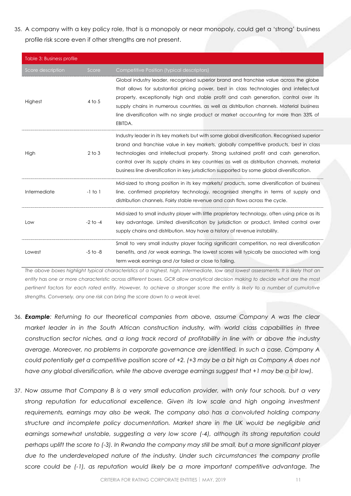35. A company with a key policy role, that is a monopoly or near monopoly, could get a 'strong' business profile risk score even if other strengths are not present.

| Table 3: Business profile |              |                                                                                                                                                                                                                                                                                                                                                                                                                                                                             |
|---------------------------|--------------|-----------------------------------------------------------------------------------------------------------------------------------------------------------------------------------------------------------------------------------------------------------------------------------------------------------------------------------------------------------------------------------------------------------------------------------------------------------------------------|
| Score description         | Score        | <b>Competitive Position (typical descriptors)</b>                                                                                                                                                                                                                                                                                                                                                                                                                           |
| Highest                   | $4$ to $5$   | Global industry leader, recognised superior brand and franchise value across the globe<br>that allows for substantial pricing power, best in class technologies and intellectual<br>property, exceptionally high and stable profit and cash generation, control over its<br>supply chains in numerous countries, as well as distribution channels. Material business<br>line diversification with no single product or market accounting for more than 33% of<br>EBITDA.    |
| High                      | $2$ to $3$   | Industry leader in its key markets but with some global diversification. Recognised superior<br>brand and franchise value in key markets, globally competitive products, best in class<br>technologies and intellectual property. Strong sustained profit and cash generation,<br>control over its supply chains in key countries as well as distribution channels, material<br>business line diversification in key jurisdiction supported by some global diversification. |
| Intermediate              | $-1$ to $1$  | Mid-sized to strong position in its key markets/ products, some diversification of business<br>line, confirmed proprietary technology, recognised strengths in terms of supply and<br>distribution channels. Fairly stable revenue and cash flows across the cycle.                                                                                                                                                                                                         |
| Low                       | $-2$ to $-4$ | Mid-sized to small industry player with little proprietary technology, often using price as its<br>key advantage. Limited diversification by jurisdiction or product, limited control over<br>supply chains and distribution. May have a history of revenue instability.                                                                                                                                                                                                    |
| Lowest                    | $-5$ to $-8$ | Small to very small industry player facing significant competition, no real diversification<br>benefits, and /or weak earnings. The lowest scores will typically be associated with long<br>term weak earnings and /or failed or close to failing.                                                                                                                                                                                                                          |

*The above boxes highlight typical characteristics of a highest, high, intermediate, low and lowest assessments. It is likely that an entity has one or more characteristic across different boxes. GCR allow analytical decision making to decide what are the most pertinent factors for each rated entity. However, to achieve a stronger score the entity is likely to a number of cumulative strengths. Conversely, any one risk can bring the score down to a weak level.* 

- 36. *Example: Returning to our theoretical companies from above, assume Company A was the clear market leader in in the South African construction industry, with world class capabilities in three construction sector niches, and a long track record of profitability in line with or above the industry average. Moreover, no problems in corporate governance are identified. In such a case, Company A could potentially get a competitive position score of +2. (+3 may be a bit high as Company A does not have any global diversification, while the above average earnings suggest that +1 may be a bit low).*
- 37. *Now assume that Company B is a very small education provider, with only four schools, but a very strong reputation for educational excellence. Given its low scale and high ongoing investment requirements, earnings may also be weak. The company also has a convoluted holding company structure and incomplete policy documentation. Market share in the UK would be negligible and earnings somewhat unstable, suggesting a very low score (-4), although its strong reputation could perhaps uplift the score to (-3). In Rwanda the company may still be small, but a more significant player due to the underdeveloped nature of the industry. Under such circumstances the company profile score could be (-1), as reputation would likely be a more important competitive advantage. The*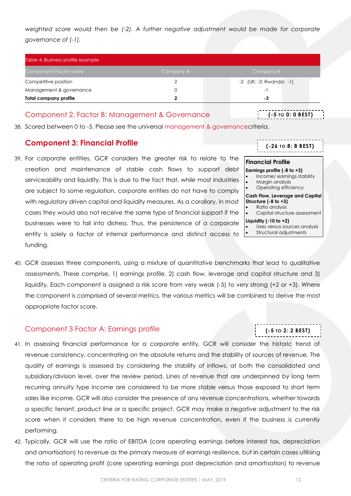weighted score would then be (-2). A further negative adjustment would be made for corporate *governance of (-1).*

| Table 4: Business profile example |           |                                 |
|-----------------------------------|-----------|---------------------------------|
| Component/Factor score            | Company A | Company B                       |
| Competitive position              |           | $-2$ (UK: $-3$ ; Rwanda: $-1$ ) |
| Management & governance           |           | $\overline{\phantom{0}}$        |
| Total company profile             |           | -3                              |

### <span id="page-11-0"></span>Component 2, Factor B: Management & Governance

**(-5 TO 0: 0 BEST)**

**(-26 TO 8: 8 BEST)**

-----------

Income/ earnings stability

Capital structure assessment

 Uses versus sources analysis Structural adjustments

**(-5 TO 2: 2 BEST)**

**Financial Profile Earnings profile (-8 to +3)**

**Structure (-8 to +3)** Ratio analysis

**Liquidity (-10 to +2)**

 Margin analysis Operating efficiency **Cash Flow, Leverage and Capital** 

38. Scored between 0 to -5. Please see the universal [management & governancec](http://gcrratings.com/criteria)riteria.

# <span id="page-11-1"></span>**Component 3: Financial Profile**

39. For corporate entities, GCR considers the greater risk to relate to the creation and maintenance of stable cash flows to support debt serviceability and liquidity. This is due to the fact that, while most industries are subject to some regulation, corporate entities do not have to comply with regulatory driven capital and liquidity measures. As a corollary, in most cases they would also not receive the same type of financial support if the businesses were to fall into distress. Thus, the persistence of a corporate entity is solely a factor of internal performance and distinct access to funding.

| 40. GCR assesses three components, using a mixture of quantitative benchmarks that lead to qualitative  |
|---------------------------------------------------------------------------------------------------------|
| assessments. These comprise, 1) earnings profile, 2) cash flow, leverage and capital structure and 3)   |
| liquidity. Each component is assigned a risk score from very weak (-5) to very strong (+2 or +3). Where |
| the component is comprised of several metrics, the various metrics will be combined to derive the most  |
| appropriate factor score.                                                                               |

# <span id="page-11-2"></span>Component 3 Factor A: Earnings profile

- 41. In assessing financial performance for a corporate entity, GCR will consider the historic trend of revenue consistency, concentrating on the absolute returns and the stability of sources of revenue. The quality of earnings is assessed by considering the stability of inflows, at both the consolidated and subsidiary/division level, over the review period. Lines of revenue that are underpinned by long term recurring annuity type income are considered to be more stable versus those exposed to short term sales like income. GCR will also consider the presence of any revenue concentrations, whether towards a specific tenant, product line or a specific project. GCR may make a negative adjustment to the risk score when it considers there to be high revenue concentration, even if the business is currently performing.
- 42. Typically, GCR will use the ratio of EBITDA (core operating earnings before interest tax, depreciation and amortisation) to revenue as the primary measure of earnings resilience, but in certain cases utilising the ratio of operating profit (core operating earnings post depreciation and amortisation) to revenue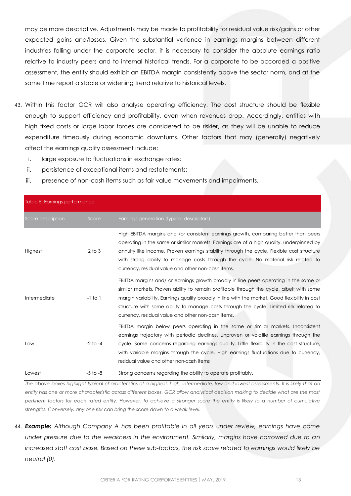may be more descriptive. Adjustments may be made to profitability for residual value risk/gains or other expected gains and/losses. Given the substantial variance in earnings margins between different industries falling under the corporate sector, it is necessary to consider the absolute earnings ratio relative to industry peers and to internal historical trends. For a corporate to be accorded a positive assessment, the entity should exhibit an EBITDA margin consistently above the sector norm, and at the same time report a stable or widening trend relative to historical levels.

- 43. Within this factor GCR will also analyse operating efficiency. The cost structure should be flexible enough to support efficiency and profitability, even when revenues drop. Accordingly, entities with high fixed costs or large labor forces are considered to be riskier, as they will be unable to reduce expenditure timeously during economic downturns. Other factors that may (generally) negatively affect the earnings quality assessment include:
	- i. large exposure to fluctuations in exchange rates;
	- ii. persistence of exceptional items and restatements;
	- iii. presence of non-cash items such as fair value movements and impairments.

| Table 5: Earnings performance |              |                                                                                                                                                                                                                                                                                                                                                                                                                                     |  |  |
|-------------------------------|--------------|-------------------------------------------------------------------------------------------------------------------------------------------------------------------------------------------------------------------------------------------------------------------------------------------------------------------------------------------------------------------------------------------------------------------------------------|--|--|
| Score description             | Score        | Earnings generation (typical descriptors)                                                                                                                                                                                                                                                                                                                                                                                           |  |  |
| Highest                       | $2$ to $3$   | High EBITDA margins and /or consistent earnings growth, comparing better than peers<br>operating in the same or similar markets. Earnings are of a high quality, underpinned by<br>annuity like income. Proven earnings stability through the cycle. Flexible cost structure<br>with strong ability to manage costs through the cycle. No material risk related to<br>currency, residual value and other non-cash items.            |  |  |
| Intermediate                  | $-1$ to $1$  | EBITDA margins and/ or earnings growth broadly in line peers operating in the same or<br>similar markets. Proven ability to remain profitable through the cycle, albeit with some<br>margin variability. Earnings quality broadly in line with the market. Good flexibility in cost<br>structure with some ability to manage costs through the cycle. Limited risk related to<br>currency, residual value and other non-cash items. |  |  |
| Low                           | $-2$ to $-4$ | EBITDA margin below peers operating in the same or similar markets. Inconsistent<br>earnings trajectory with periodic declines. Unproven or volatile earnings through the<br>cycle. Some concerns regarding earnings quality. Little flexibility in the cost structure,<br>with variable margins through the cycle. High earnings fluctuations due to currency,<br>residual value and other non-cash items                          |  |  |
| Lowest                        | $-5$ to $-8$ | Strong concerns regarding the ability to operate profitably.<br>The short house brought and have a short change of a brought of the constant of the second complete the second computer of the second computer of the second computer of the second computer of the second computer of the sec<br>$\sim$ 1. The field of $\sim$ 1. The field of $\sim$                                                                              |  |  |

*The above boxes highlight typical characteristics of a highest, high, intermediate, low and lowest assessments. It is likely that an entity has one or more characteristic across different boxes. GCR allow analytical decision making to decide what are the most pertinent factors for each rated entity. However, to achieve a stronger score the entity is likely to a number of cumulative strengths. Conversely, any one risk can bring the score down to a weak level.* 

44. *Example: Although Company A has been profitable in all years under review, earnings have come under pressure due to the weakness in the environment. Similarly, margins have narrowed due to an increased staff cost base. Based on these sub-factors, the risk score related to earnings would likely be neutral (0).*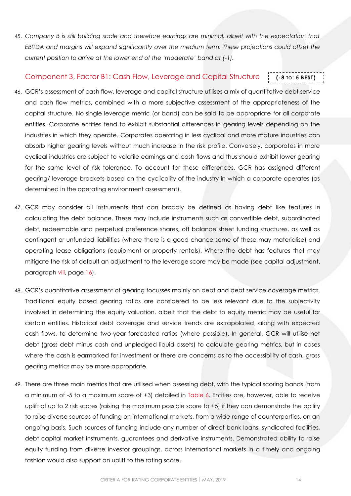45. *Company B is still building scale and therefore earnings are minimal, albeit with the expectation that EBITDA and margins will expand significantly over the medium term. These projections could offset the current position to arrive at the lower end of the 'moderate' band at (-1).*

#### <span id="page-13-0"></span>Component 3, Factor B1: Cash Flow, Leverage and Capital Structure **(-8 TO: 5 BEST)**

- 46. GCR's assessment of cash flow, leverage and capital structure utilises a mix of quantitative debt service and cash flow metrics, combined with a more subjective assessment of the appropriateness of the capital structure. No single leverage metric (or band) can be said to be appropriate for all corporate entities. Corporate entities tend to exhibit substantial differences in gearing levels depending on the industries in which they operate. Corporates operating in less cyclical and more mature industries can absorb higher gearing levels without much increase in the risk profile. Conversely, corporates in more cyclical industries are subject to volatile earnings and cash flows and thus should exhibit lower gearing for the same level of risk tolerance. To account for these differences, GCR has assigned different gearing/ leverage brackets based on the cyclicality of the industry in which a corporate operates (as determined in the operating environment assessment).
- 47. GCR may consider all instruments that can broadly be defined as having debt like features in calculating the debt balance. These may include instruments such as convertible debt, subordinated debt, redeemable and perpetual preference shares, off balance sheet funding structures, as well as contingent or unfunded liabilities (where there is a good chance some of these may materialise) and operating lease obligations (equipment or property rentals). Where the debt has features that may mitigate the risk of default an adjustment to the leverage score may be made (see capital adjustment, paragraph [viii,](#page-15-0) page [16\)](#page-15-0).
- 48. GCR's quantitative assessment of gearing focusses mainly on debt and debt service coverage metrics. Traditional equity based gearing ratios are considered to be less relevant due to the subjectivity involved in determining the equity valuation, albeit that the debt to equity metric may be useful for certain entities. Historical debt coverage and service trends are extrapolated, along with expected cash flows, to determine two-year forecasted ratios (where possible). In general, GCR will utilise net debt (gross debt minus cash and unpledged liquid assets) to calculate gearing metrics, but in cases where the cash is earmarked for investment or there are concerns as to the accessibility of cash, gross gearing metrics may be more appropriate.
- 49. There are three main metrics that are utilised when assessing debt, with the typical scoring bands (from a minimum of -5 to a maximum score of +3) detailed in [Table 6.](#page-14-1) Entities are, however, able to receive uplift of up to 2 risk scores (raising the maximum possible score to +5) if they can demonstrate the ability to raise diverse sources of funding on international markets, from a wide range of counterparties, on an ongoing basis. Such sources of funding include any number of direct bank loans, syndicated facilities, debt capital market instruments, guarantees and derivative instruments. Demonstrated ability to raise equity funding from diverse investor groupings, across international markets in a timely and ongoing fashion would also support an uplift to the rating score.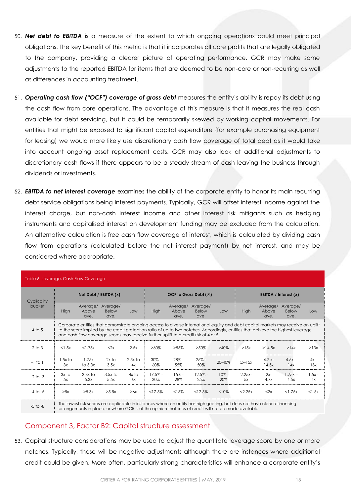- 50. *Net debt to EBITDA* is a measure of the extent to which ongoing operations could meet principal obligations. The key benefit of this metric is that it incorporates all core profits that are legally obligated to the company, providing a clearer picture of operating performance. GCR may make some adjustments to the reported EBITDA for items that are deemed to be non-core or non-recurring as well as differences in accounting treatment.
- 51. *Operating cash flow ("OCF") coverage of gross debt* measures the entity's ability is repay its debt using the cash flow from core operations. The advantage of this measure is that it measures the real cash available for debt servicing, but it could be temporarily skewed by working capital movements. For entities that might be exposed to significant capital expenditure (for example purchasing equipment for leasing) we would more likely use discretionary cash flow coverage of total debt as it would take into account ongoing asset replacement costs. GCR may also look at additional adjustments to discretionary cash flows if there appears to be a steady stream of cash leaving the business through dividends or investments.
- 52. *EBITDA to net interest coverage* examines the ability of the corporate entity to honor its main recurring debt service obligations being interest payments. Typically, GCR will offset interest income against the interest charge, but non-cash interest income and other interest risk mitigants such as hedging instruments and capitalised interest on development funding may be excluded from the calculation. An alternative calculation is free cash flow coverage of interest, which is calculated by dividing cash flow from operations (calculated before the net interest payment) by net interest, and may be considered where appropriate.

<span id="page-14-1"></span>

| Table 6: Leverage, Cash Flow Coverage |                                                                                                                                                                                                                                    |                                                                                                                                                                                                                                                                                                                                                                |                           |                       |                  |                           |                           |                         |                   |                           |                                  |                |
|---------------------------------------|------------------------------------------------------------------------------------------------------------------------------------------------------------------------------------------------------------------------------------|----------------------------------------------------------------------------------------------------------------------------------------------------------------------------------------------------------------------------------------------------------------------------------------------------------------------------------------------------------------|---------------------------|-----------------------|------------------|---------------------------|---------------------------|-------------------------|-------------------|---------------------------|----------------------------------|----------------|
| Cyclicality                           | Net Debt / EBITDA $(x)$                                                                                                                                                                                                            |                                                                                                                                                                                                                                                                                                                                                                |                           | OCF to Gross Debt (%) |                  |                           |                           | EBITDA / Interest $(x)$ |                   |                           |                                  |                |
| bucket                                | <b>High</b>                                                                                                                                                                                                                        | Average/<br>Above<br>ave.                                                                                                                                                                                                                                                                                                                                      | Average/<br>Below<br>ave. | Low                   | High             | Average/<br>Above<br>ave. | Average/<br>Below<br>ave. | Low                     | High              | Average/<br>Above<br>ave. | Average/<br><b>Below</b><br>ave. | Low            |
| $4$ to $5$                            |                                                                                                                                                                                                                                    | Corporate entities that demonstrate ongoing access to diverse international equity and debt capital markets may receive an uplift<br>to the score implied by the credit protection ratio of up to two notches. Accordingly, entities that achieve the highest leverage<br>and cash flow coverage scores may receive further uplift to a credit risk of 4 or 5. |                           |                       |                  |                           |                           |                         |                   |                           |                                  |                |
| $2$ to $3$                            | $<$ 1.5 $\times$                                                                                                                                                                                                                   | $<$ 1.75 $\times$                                                                                                                                                                                                                                                                                                                                              | $<$ 2 $\times$            | 2.5x                  | $>60\%$          | $>55\%$                   | $>50\%$                   | $>40\%$                 | >15x              | >14.5x                    | >14x                             | >13x           |
| $-1$ to $1$                           | 1.5x to<br>3x                                                                                                                                                                                                                      | 1.75x<br>to $3.3x$                                                                                                                                                                                                                                                                                                                                             | $2x$ to<br>3.5x           | $2.5x$ to<br>4x       | $30\% -$<br>60%  | $28% -$<br>55%            | $25% -$<br>50%            | 20-40%                  | $5x-15x$          | $4.7.x -$<br>14.5x        | $4.5x -$<br>14x                  | $4x -$<br>13x  |
| $-2$ to $-3$                          | $3x$ to<br>5x                                                                                                                                                                                                                      | $3.3x$ to<br>5.3x                                                                                                                                                                                                                                                                                                                                              | $3.5x$ to<br>5.5x         | $4x$ to<br>6x         | $17.5% -$<br>30% | $15% -$<br>28%            | $12.5% -$<br>25%          | $10% -$<br>20%          | $2.25x -$<br>5x   | $2x-$<br>4.7x             | $1.75x -$<br>4.5x                | $1.5x -$<br>4x |
| $-4$ to $-5$                          | >5x                                                                                                                                                                                                                                | >5.3x                                                                                                                                                                                                                                                                                                                                                          | >5.5x                     | >6x                   | <17.5%           | <15%                      | <12.5%                    | < 10%                   | $<$ 2.25 $\times$ | <2x                       | < 1.75x                          | < 1.5x         |
| $-5$ to $-8$                          | The lowest risk scores are applicable in instances where an entity has high gearing, but does not have clear refinancing<br>arrangements in place, or where GCR is of the opinion that lines of credit will not be made available. |                                                                                                                                                                                                                                                                                                                                                                |                           |                       |                  |                           |                           |                         |                   |                           |                                  |                |

# <span id="page-14-0"></span>Component 3, Factor B2: Capital structure assessment

53. Capital structure considerations may be used to adjust the quantitate leverage score by one or more notches. Typically, these will be negative adjustments although there are instances where additional credit could be given. More often, particularly strong characteristics will enhance a corporate entity's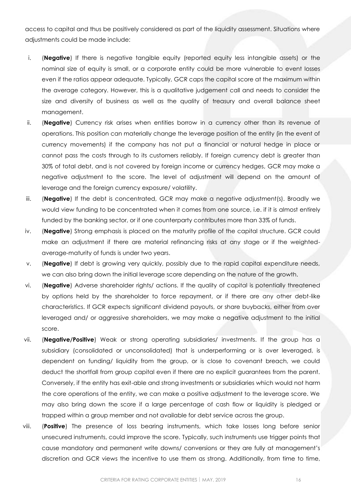access to capital and thus be positively considered as part of the liquidity assessment. Situations where adjustments could be made include:

- i. (**Negative**) If there is negative tangible equity (reported equity less intangible assets) or the nominal size of equity is small, or a corporate entity could be more vulnerable to event losses even if the ratios appear adequate. Typically, GCR caps the capital score at the maximum within the average category. However, this is a qualitative judgement call and needs to consider the size and diversity of business as well as the quality of treasury and overall balance sheet management.
- ii. (**Negative**) Currency risk arises when entities borrow in a currency other than its revenue of operations. This position can materially change the leverage position of the entity (in the event of currency movements) if the company has not put a financial or natural hedge in place or cannot pass the costs through to its customers reliably. If foreign currency debt is greater than 30% of total debt, and is not covered by foreign income or currency hedges, GCR may make a negative adjustment to the score. The level of adjustment will depend on the amount of leverage and the foreign currency exposure/ volatility.
- iii. (**Negative**) If the debt is concentrated, GCR may make a negative adjustment(s). Broadly we would view funding to be concentrated when it comes from one source, i.e. if it is almost entirely funded by the banking sector, or if one counterparty contributes more than 33% of funds.
- iv. (**Negative**) Strong emphasis is placed on the maturity profile of the capital structure. GCR could make an adjustment if there are material refinancing risks at any stage or if the weightedaverage-maturity of funds is under two years.
- v. (**Negative**) If debt is growing very quickly, possibly due to the rapid capital expenditure needs, we can also bring down the initial leverage score depending on the nature of the growth.
- vi. (**Negative**) Adverse shareholder rights/ actions. If the quality of capital is potentially threatened by options held by the shareholder to force repayment, or if there are any other debt-like characteristics. If GCR expects significant dividend payouts, or share buybacks, either from over leveraged and/ or aggressive shareholders, we may make a negative adjustment to the initial score.
- vii. (**Negative/Positive**) Weak or strong operating subsidiaries/ investments. If the group has a subsidiary (consolidated or unconsolidated) that is underperforming or is over leveraged, is dependent on funding/ liquidity from the group, or is close to covenant breach, we could deduct the shortfall from group capital even if there are no explicit guarantees from the parent. Conversely, if the entity has exit-able and strong investments or subsidiaries which would not harm the core operations of the entity, we can make a positive adjustment to the leverage score. We may also bring down the score if a large percentage of cash flow or liquidity is pledged or trapped within a group member and not available for debt service across the group.
- <span id="page-15-0"></span>viii. (**Positive**) The presence of loss bearing instruments, which take losses long before senior unsecured instruments, could improve the score. Typically, such instruments use trigger points that cause mandatory and permanent write downs/ conversions or they are fully at management's discretion and GCR views the incentive to use them as strong. Additionally, from time to time,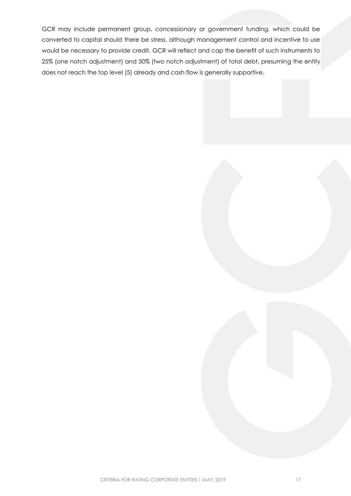GCR may include permanent group, concessionary or government funding, which could be converted to capital should there be stress, although management control and incentive to use would be necessary to provide credit. GCR will reflect and cap the benefit of such instruments to 25% (one notch adjustment) and 50% (two notch adjustment) of total debt, presuming the entity does not reach the top level (5) already and cash flow is generally supportive.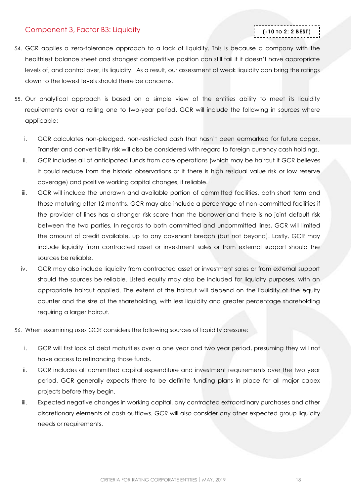# <span id="page-17-0"></span>Component 3, Factor B3: Liquidity

# **(-10 TO 2: 2 BEST)**

- 54. GCR applies a zero-tolerance approach to a lack of liquidity. This is because a company with the healthiest balance sheet and strongest competitive position can still fail if it doesn't have appropriate levels of, and control over, its liquidity. As a result, our assessment of weak liquidity can bring the ratings down to the lowest levels should there be concerns.
- 55. Our analytical approach is based on a simple view of the entities ability to meet its liquidity requirements over a rolling one to two-year period. GCR will include the following in sources where applicable:
	- i. GCR calculates non-pledged, non-restricted cash that hasn't been earmarked for future capex. Transfer and convertibility risk will also be considered with regard to foreign currency cash holdings.
	- ii. GCR includes all of anticipated funds from core operations (which may be haircut if GCR believes it could reduce from the historic observations or if there is high residual value risk or low reserve coverage) and positive working capital changes, if reliable.
	- iii. GCR will include the undrawn and available portion of committed facilities, both short term and those maturing after 12 months. GCR may also include a percentage of non-committed facilities if the provider of lines has a stronger risk score than the borrower and there is no joint default risk between the two parties. In regards to both committed and uncommitted lines, GCR will limited the amount of credit available, up to any covenant breach (but not beyond). Lastly, GCR may include liquidity from contracted asset or investment sales or from external support should the sources be reliable.
	- iv. GCR may also include liquidity from contracted asset or investment sales or from external support should the sources be reliable. Listed equity may also be included for liquidity purposes, with an appropriate haircut applied. The extent of the haircut will depend on the liquidity of the equity counter and the size of the shareholding, with less liquidity and greater percentage shareholding requiring a larger haircut.
- 56. When examining uses GCR considers the following sources of liquidity pressure:
	- i. GCR will first look at debt maturities over a one year and two year period, presuming they will not have access to refinancing those funds.
	- ii. GCR includes all committed capital expenditure and investment requirements over the two year period. GCR generally expects there to be definite funding plans in place for all major capex projects before they begin.
	- iii. Expected negative changes in working capital, any contracted extraordinary purchases and other discretionary elements of cash outflows. GCR will also consider any other expected group liquidity needs or requirements.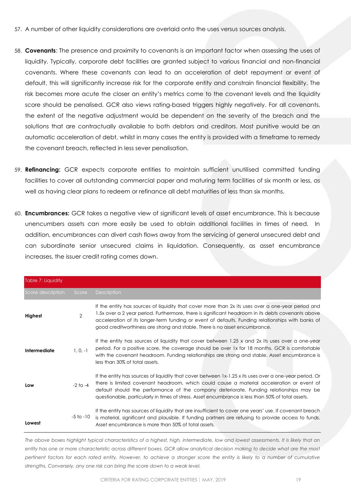- 57. A number of other liquidity considerations are overlaid onto the uses versus sources analysis.
- 58. **Covenants**: The presence and proximity to covenants is an important factor when assessing the uses of liquidity. Typically, corporate debt facilities are granted subject to various financial and non-financial covenants. Where these covenants can lead to an acceleration of debt repayment or event of default, this will significantly increase risk for the corporate entity and constrain financial flexibility. The risk becomes more acute the closer an entity's metrics come to the covenant levels and the liquidity score should be penalised. GCR also views rating-based triggers highly negatively. For all covenants, the extent of the negative adjustment would be dependent on the severity of the breach and the solutions that are contractually available to both debtors and creditors. Most punitive would be an automatic acceleration of debt, whilst in many cases the entity is provided with a timeframe to remedy the covenant breach, reflected in less sever penalisation.
- 59. **Refinancing:** GCR expects corporate entities to maintain sufficient unutilised committed funding facilities to cover all outstanding commercial paper and maturing term facilities of six month or less, as well as having clear plans to redeem or refinance all debt maturities of less than six months.
- 60. **Encumbrances:** GCR takes a negative view of significant levels of asset encumbrance. This is because unencumbers assets can more easily be used to obtain additional facilities in times of need. In addition, encumbrances can divert cash flows away from the servicing of general unsecured debt and can subordinate senior unsecured claims in liquidation. Consequently, as asset encumbrance increases, the issuer credit rating comes down.

| Table 7: Liquidity |                |                                                                                                                                                                                                                                                                                                                                                                                                       |
|--------------------|----------------|-------------------------------------------------------------------------------------------------------------------------------------------------------------------------------------------------------------------------------------------------------------------------------------------------------------------------------------------------------------------------------------------------------|
| Score description  | Score          | <b>Description</b>                                                                                                                                                                                                                                                                                                                                                                                    |
| Highest            | $\overline{2}$ | If the entity has sources of liquidity that cover more than 2x its uses over a one-year period and<br>1.5x over a 2 year period. Furthermore, there is significant headroom in its debts covenants above<br>acceleration of its longer-term funding or event of defaults. Funding relationships with banks of<br>good creditworthiness are strong and stable. There is no asset encumbrance.          |
| Intermediate       | $1, 0, -1$     | If the entity has sources of liquidity that cover between 1.25 x and 2x its uses over a one-year<br>period. For a positive score, the coverage should be over 1x for 18 months. GCR is comfortable<br>with the covenant headroom. Funding relationships are strong and stable. Asset encumbrance is<br>less than 30% of total assets.                                                                 |
| Low                | $-2$ to $-4$   | If the entity has sources of liquidity that cover between 1x-1.25 x its uses over a one-year period. Or<br>there is limited covenant headroom, which could cause a material acceleration or event of<br>default should the performance of the company deteriorate. Funding relationships may be<br>guestionable, particularly in times of stress. Asset encumbrance is less than 50% of total assets. |
| Lowest             | $-5$ to $-10$  | If the entity has sources of liquidity that are insufficient to cover one years' use. If covenant breach<br>is material, significant and plausible. If funding partners are refusing to provide access to funds.<br>Asset encumbrance is more than 50% of total assets.                                                                                                                               |

*The above boxes highlight typical characteristics of a highest, high, intermediate, low and lowest assessments. It is likely that an entity has one or more characteristic across different boxes. GCR allow analytical decision making to decide what are the most pertinent factors for each rated entity. However, to achieve a stronger score the entity is likely to a number of cumulative strengths. Conversely, any one risk can bring the score down to a weak level.*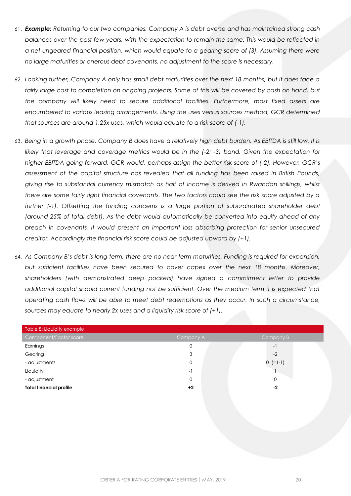- 61. *Example: Returning to our two companies, Company A is debt averse and has maintained strong cash balances over the past few years, with the expectation to remain the same. This would be reflected in a net ungeared financial position, which would equate to a gearing score of (3). Assuming there were no large maturities or onerous debt covenants, no adjustment to the score is necessary.*
- 62. *Looking further, Company A only has small debt maturities over the next 18 months, but it does face a*  fairly large cost to completion on ongoing projects. Some of this will be covered by cash on hand, but *the company will likely need to secure additional facilities. Furthermore, most fixed assets are encumbered to various leasing arrangements. Using the uses versus sources method, GCR determined that sources are around 1.25x uses, which would equate to a risk score of (-1).*
- 63. *Being in a growth phase, Company B does have a relatively high debt burden. As EBITDA is still low, it is likely that leverage and coverage metrics would be in the (-2; -3) band. Given the expectation for higher EBITDA going forward, GCR would, perhaps assign the better risk score of (-2). However, GCR's assessment of the capital structure has revealed that all funding has been raised in British Pounds, giving rise to substantial currency mismatch as half of income is derived in Rwandan shillings, whilst there are some fairly tight financial covenants. The two factors could see the risk score adjusted by a further (-1). Offsetting the funding concerns is a large portion of subordinated shareholder debt (around 25% of total debt). As the debt would automatically be converted into equity ahead of any breach in covenants, it would present an important loss absorbing protection for senior unsecured creditor. Accordingly the financial risk score could be adjusted upward by (+1).*
- 64. *As Company B's debt is long term, there are no near term maturities. Funding is required for expansion, but sufficient facilities have been secured to cover capex over the next 18 months. Moreover, shareholders (with demonstrated deep pockets) have signed a commitment letter to provide additional capital should current funding not be sufficient. Over the medium term it is expected that operating cash flows will be able to meet debt redemptions as they occur. In such a circumstance, sources may equate to nearly 2x uses and a liquidity risk score of (+1).*

| Table 8: Liquidity example     |                          |            |
|--------------------------------|--------------------------|------------|
| Component/Factor score         | Company A                | Company B  |
| Earnings                       | 0                        | $-1$       |
| Gearing                        | 3                        | $-2$       |
| - adjustments                  | 0                        | $0 (=1-1)$ |
| Liquidity                      | $\overline{\phantom{0}}$ |            |
| - adjustment                   | 0                        | $\Omega$   |
| <b>Total financial profile</b> | $+2$                     | -2         |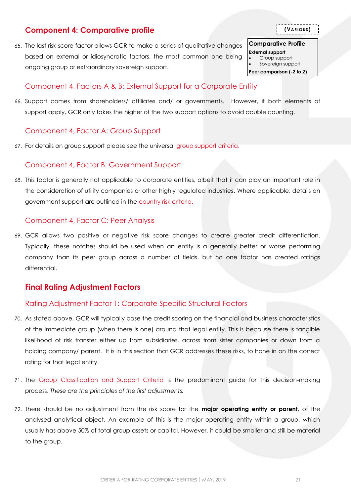# <span id="page-20-0"></span>**Component 4: Comparative profile**

65. The last risk score factor allows GCR to make a series of qualitative changes based on external or idiosyncratic factors, the most common one being ongoing group or extraordinary sovereign support.

# <span id="page-20-3"></span>Component 4, Factors A & B: External Support for a Corporate Entity

66. Support comes from shareholders/ affiliates and/ or governments. However, if both elements of support apply, GCR only takes the higher of the two support options to avoid double counting.

# <span id="page-20-1"></span>Component 4, Factor A: Group Support

67. For details on group support please see the universal [group support criteria.](http://gcrratings.com/criteria)

# <span id="page-20-2"></span>Component 4, Factor B: Government Support

68. This factor is generally not applicable to corporate entities, albeit that it can play an important role in the consideration of utility companies or other highly regulated industries. Where applicable, details on government support are outlined in the [country risk criteria.](http://gcrratings.com/criteria)

# <span id="page-20-4"></span>Component 4, Factor C: Peer Analysis

69. GCR allows two positive or negative risk score changes to create greater credit differentiation. Typically, these notches should be used when an entity is a generally better or worse performing company than its peer group across a number of fields, but no one factor has created ratings differential.

# <span id="page-20-5"></span>**Final Rating Adjustment Factors**

# <span id="page-20-6"></span>Rating Adjustment Factor 1: Corporate Specific Structural Factors

- 70. As stated above, GCR will typically base the credit scoring on the financial and business characteristics of the immediate group (when there is one) around that legal entity. This is because there is tangible likelihood of risk transfer either up from subsidiaries, across from sister companies or down from a holding company/ parent. It is in this section that GCR addresses these risks, to hone in on the correct rating for that legal entity.
- 71. The [Group Classification and Support Criteria](http://gcrratings.com/criteria) is the predominant guide for this decision-making process. *These are the principles of the first adjustments:*
- 72. There should be no adjustment from the risk score for the **major operating entity or parent**, of the analysed analytical object. An example of this is the major operating entity within a group, which usually has above 50% of total group assets or capital. However, it could be smaller and still be material to the group.

**(VARIOUS)**

**Comparative Profile** 

**External support** Group support Sovereign support **Peer comparison (-2 to 2)**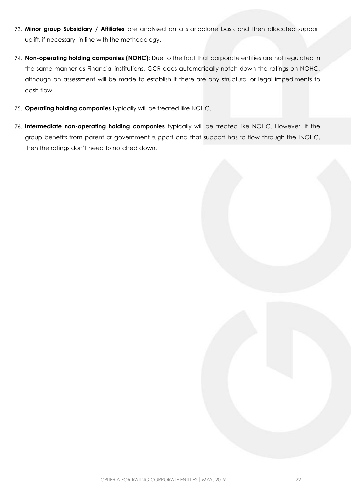- 73. **Minor group Subsidiary / Affiliates** are analysed on a standalone basis and then allocated support uplift, if necessary, in line with the methodology.
- 74. **Non-operating holding companies (NOHC):** Due to the fact that corporate entities are not regulated in the same manner as Financial institutions, GCR does automatically notch down the ratings on NOHC, although an assessment will be made to establish if there are any structural or legal impediments to cash flow.
- 75. **Operating holding companies** typically will be treated like NOHC.
- 76. **Intermediate non-operating holding companies** typically will be treated like NOHC. However, if the group benefits from parent or government support and that support has to flow through the INOHC, then the ratings don't need to notched down.

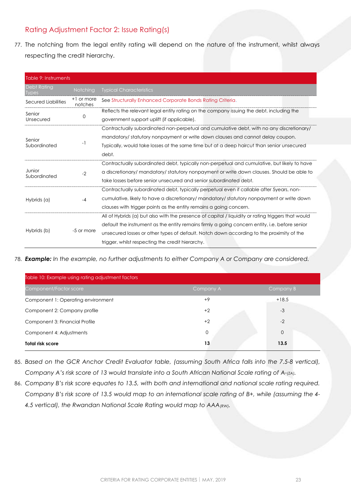# <span id="page-22-0"></span>Rating Adjustment Factor 2: Issue Rating(s)

77. The notching from the legal entity rating will depend on the nature of the instrument, whilst always respecting the credit hierarchy.

| Table 9: Instruments               |                       |                                                                                                    |  |  |
|------------------------------------|-----------------------|----------------------------------------------------------------------------------------------------|--|--|
| <b>Debt Rating</b><br><b>Iypes</b> | Notching              | <b>Typical Characteristics</b>                                                                     |  |  |
| Secured Liabilities                | +1 or more<br>notches | See Structurally Enhanced Corporate Bonds Rating Criteria.                                         |  |  |
| Senior                             |                       | Reflects the relevant legal entity rating on the company issuing the debt, including the           |  |  |
| Unsecured                          | 0                     | government support uplift (if applicable).                                                         |  |  |
|                                    |                       | Contractually subordinated non-perpetual and cumulative debt, with no any discretionary/           |  |  |
| Senior                             |                       | mandatory/statutory nonpayment or write down clauses and cannot delay coupon.                      |  |  |
| Subordinated                       | -1                    | Typically, would take losses at the same time but at a deep haircut than senior unsecured          |  |  |
|                                    |                       | debt.                                                                                              |  |  |
|                                    |                       | Contractually subordinated debt, typically non-perpetual and cumulative, but likely to have        |  |  |
| Junior<br>Subordinated             | $-2$                  | a discretionary/mandatory/statutory nonpayment or write down clauses. Should be able to            |  |  |
|                                    |                       | take losses before senior unsecured and senior subordinated debt.                                  |  |  |
|                                    |                       | Contractually subordinated debt, typically perpetual even if callable after 5years, non-           |  |  |
| Hybrids (a)                        | $-4$                  | cumulative, likely to have a discretionary/mandatory/statutory nonpayment or write down            |  |  |
|                                    |                       | clauses with trigger points as the entity remains a going concern.                                 |  |  |
|                                    |                       | All of Hybrids (a) but also with the presence of capital / liquidity or rating triggers that would |  |  |
| Hybrids (b)                        |                       | default the instrument as the entity remains firmly a going concern entity, i.e. before senior     |  |  |
|                                    | -5 or more            | unsecured losses or other types of default. Notch down according to the proximity of the           |  |  |
|                                    |                       | trigger, whilst respecting the credit hierarchy.                                                   |  |  |

78. *Example: In the example, no further adjustments to either Company A or Company are considered.*

| Table 10: Example using rating adjustment factors |           |              |  |  |  |  |
|---------------------------------------------------|-----------|--------------|--|--|--|--|
| Component/Factor score                            | Company A | Company B    |  |  |  |  |
| Component 1: Operating environment                | $+9$      | $+18.5$      |  |  |  |  |
| Component 2: Company profile                      | $+2$      | $-3$         |  |  |  |  |
| Component 3: Financial Profile                    | $+2$      | $-2$         |  |  |  |  |
| Component 4: Adjustments                          | 0         | $\mathbf{0}$ |  |  |  |  |
| <b>Total risk score</b>                           | 13        | 13.5         |  |  |  |  |

- 85. *Based on the GCR Anchor Credit Evaluator table, (assuming South Africa falls into the 7.5-8 vertical), Company A's risk score of 13 would translate into a South African National Scale rating of A-(ZA).*
- 86. *Company B's risk score equates to 13.5, with both and international and national scale rating required. Company B's risk score of 13.5 would map to an international scale rating of B+, while (assuming the 4- 4.5 vertical), the Rwandan National Scale Rating would map to AAA(RW).*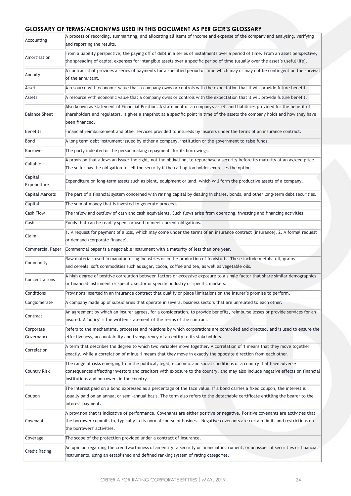# **GLOSSARY OF TERMS/ACRONYMS USED IN THIS DOCUMENT AS PER GCR'S GLOSSARY**

| Accounting             | A process of recording, summarising, and allocating all items of income and expense of the company and analysing, verifying<br>and reporting the results.                                                                                                                                             |
|------------------------|-------------------------------------------------------------------------------------------------------------------------------------------------------------------------------------------------------------------------------------------------------------------------------------------------------|
| Amortisation           | From a liability perspective, the paying off of debt in a series of instalments over a period of time. From an asset perspective,<br>the spreading of capital expenses for intangible assets over a specific period of time (usually over the asset's useful life).                                   |
| Annuity                | A contract that provides a series of payments for a specified period of time which may or may not be contingent on the survival<br>of the annuitant.                                                                                                                                                  |
| Asset                  | A resource with economic value that a company owns or controls with the expectation that it will provide future benefit.                                                                                                                                                                              |
| Assets                 | A resource with economic value that a company owns or controls with the expectation that it will provide future benefit.                                                                                                                                                                              |
| <b>Balance Sheet</b>   | Also known as Statement of Financial Position. A statement of a company's assets and liabilities provided for the benefit of<br>shareholders and regulators. It gives a snapshot at a specific point in time of the assets the company holds and how they have<br>been financed.                      |
| Benefits               | Financial reimbursement and other services provided to insureds by insurers under the terms of an insurance contract.                                                                                                                                                                                 |
| Bond                   | A long term debt instrument issued by either a company, institution or the government to raise funds.                                                                                                                                                                                                 |
| Borrower               | The party indebted or the person making repayments for its borrowings.                                                                                                                                                                                                                                |
| Callable               | A provision that allows an Issuer the right, not the obligation, to repurchase a security before its maturity at an agreed price.<br>The seller has the obligation to sell the security if the call option holder exercises the option.                                                               |
| Capital<br>Expenditure | Expenditure on long-term assets such as plant, equipment or land, which will form the productive assets of a company.                                                                                                                                                                                 |
| <b>Capital Markets</b> | The part of a financial system concerned with raising capital by dealing in shares, bonds, and other long-term debt securities.                                                                                                                                                                       |
| Capital                | The sum of money that is invested to generate proceeds.                                                                                                                                                                                                                                               |
| <b>Cash Flow</b>       | The inflow and outflow of cash and cash equivalents. Such flows arise from operating, investing and financing activities.                                                                                                                                                                             |
| Cash                   | Funds that can be readily spent or used to meet current obligations.                                                                                                                                                                                                                                  |
| Claim                  | 1. A request for payment of a loss, which may come under the terms of an insurance contract (insurance). 2. A formal request<br>or demand (corporate finance).                                                                                                                                        |
| Commercial Paper       | Commercial paper is a negotiable instrument with a maturity of less than one year.                                                                                                                                                                                                                    |
|                        | Raw materials used in manufacturing industries or in the production of foodstuffs. These include metals, oil, grains                                                                                                                                                                                  |
| Commodity              | and cereals, soft commodities such as sugar, cocoa, coffee and tea, as well as vegetable oils.                                                                                                                                                                                                        |
| Concentrations         | A high degree of positive correlation between factors or excessive exposure to a single factor that share similar demographics<br>or financial instrument or specific sector or specific industry or specific markets.                                                                                |
| Conditions             | Provisions inserted in an insurance contract that qualify or place limitations on the insurer's promise to perform.                                                                                                                                                                                   |
| Conglomerate           | A company made up of subsidiaries that operate in several business sectors that are unrelated to each other.                                                                                                                                                                                          |
| Contract               | An agreement by which an insurer agrees, for a consideration, to provide benefits, reimburse losses or provide services for an<br>insured. A 'policy' is the written statement of the terms of the contract.                                                                                          |
| Corporate              | Refers to the mechanisms, processes and relations by which corporations are controlled and directed, and is used to ensure the                                                                                                                                                                        |
| Governance             | effectiveness, accountability and transparency of an entity to its stakeholders.                                                                                                                                                                                                                      |
| Correlation            | A term that describes the degree to which two variables move together. A correlation of 1 means that they move together<br>exactly, while a correlation of minus 1 means that they move in exactly the opposite direction from each other.                                                            |
| Country Risk           | The range of risks emerging from the political, legal, economic and social conditions of a country that have adverse<br>consequences affecting investors and creditors with exposure to the country, and may also include negative effects on financial<br>institutions and borrowers in the country. |
| Coupon                 | The interest paid on a bond expressed as a percentage of the face value. If a bond carries a fixed coupon, the interest is<br>usually paid on an annual or semi-annual basis. The term also refers to the detachable certificate entitling the bearer to the<br>interest payment.                     |
| Covenant               | A provision that is indicative of performance. Covenants are either positive or negative. Positive covenants are activities that<br>the borrower commits to, typically in its normal course of business. Negative covenants are certain limits and restrictions on<br>the borrowers' activities.      |
| Coverage               | The scope of the protection provided under a contract of insurance.                                                                                                                                                                                                                                   |
| Credit Rating          | An opinion regarding the creditworthiness of an entity, a security or financial instrument, or an issuer of securities or financial<br>instruments, using an established and defined ranking system of rating categories.                                                                             |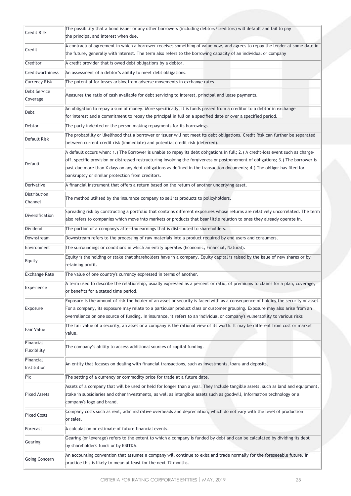| Credit Risk                    | The possibility that a bond issuer or any other borrowers (including debtors/creditors) will default and fail to pay<br>the principal and interest when due.                                                                                                                                                                                                                                                                                          |
|--------------------------------|-------------------------------------------------------------------------------------------------------------------------------------------------------------------------------------------------------------------------------------------------------------------------------------------------------------------------------------------------------------------------------------------------------------------------------------------------------|
| Credit                         | A contractual agreement in which a borrower receives something of value now, and agrees to repay the lender at some date in<br>the future, generally with interest. The term also refers to the borrowing capacity of an individual or company                                                                                                                                                                                                        |
| Creditor                       | A credit provider that is owed debt obligations by a debtor.                                                                                                                                                                                                                                                                                                                                                                                          |
| Creditworthiness               | An assessment of a debtor's ability to meet debt obligations.                                                                                                                                                                                                                                                                                                                                                                                         |
| <b>Currency Risk</b>           | The potential for losses arising from adverse movements in exchange rates.                                                                                                                                                                                                                                                                                                                                                                            |
| Debt Service<br>Coverage       | Measures the ratio of cash available for debt servicing to interest, principal and lease payments.                                                                                                                                                                                                                                                                                                                                                    |
| Debt                           | An obligation to repay a sum of money. More specifically, it is funds passed from a creditor to a debtor in exchange<br>for interest and a commitment to repay the principal in full on a specified date or over a specified period.                                                                                                                                                                                                                  |
| Debtor                         | The party indebted or the person making repayments for its borrowings.                                                                                                                                                                                                                                                                                                                                                                                |
| Default Risk                   | The probability or likelihood that a borrower or issuer will not meet its debt obligations. Credit Risk can further be separated<br>between current credit risk (immediate) and potential credit risk (deferred).                                                                                                                                                                                                                                     |
| Default                        | A default occurs when: 1.) The Borrower is unable to repay its debt obligations in full; 2.) A credit-loss event such as charge-<br>off, specific provision or distressed restructuring involving the forgiveness or postponement of obligations; 3.) The borrower is<br>past due more than X days on any debt obligations as defined in the transaction documents; 4.) The obligor has filed for<br>bankruptcy or similar protection from creditors. |
| Derivative                     | A financial instrument that offers a return based on the return of another underlying asset.                                                                                                                                                                                                                                                                                                                                                          |
| <b>Distribution</b><br>Channel | The method utilised by the insurance company to sell its products to policyholders.                                                                                                                                                                                                                                                                                                                                                                   |
| Diversification                | Spreading risk by constructing a portfolio that contains different exposures whose returns are relatively uncorrelated. The term<br>also refers to companies which move into markets or products that bear little relation to ones they already operate in.                                                                                                                                                                                           |
| Dividend                       | The portion of a company's after-tax earnings that is distributed to shareholders.                                                                                                                                                                                                                                                                                                                                                                    |
| Downstream                     | Downstream refers to the processing of raw materials into a product required by end users and consumers.                                                                                                                                                                                                                                                                                                                                              |
| Environment                    | The surroundings or conditions in which an entity operates (Economic, Financial, Natural).                                                                                                                                                                                                                                                                                                                                                            |
| Equity                         | Equity is the holding or stake that shareholders have in a company. Equity capital is raised by the issue of new shares or by<br>retaining profit.                                                                                                                                                                                                                                                                                                    |
| <b>Exchange Rate</b>           | The value of one country's currency expressed in terms of another.                                                                                                                                                                                                                                                                                                                                                                                    |
| Experience                     | A term used to describe the relationship, usually expressed as a percent or ratio, of premiums to claims for a plan, coverage,<br>or benefits for a stated time period.                                                                                                                                                                                                                                                                               |
| Exposure                       | Exposure is the amount of risk the holder of an asset or security is faced with as a consequence of holding the security or asset.<br>For a company, its exposure may relate to a particular product class or customer grouping. Exposure may also arise from an<br>overreliance on one source of funding. In insurance, it refers to an individual or company's vulnerability to various risks                                                       |
| Fair Value                     | The fair value of a security, an asset or a company is the rational view of its worth. It may be different from cost or market<br>value.                                                                                                                                                                                                                                                                                                              |
| Financial<br>Flexibility       | The company's ability to access additional sources of capital funding.                                                                                                                                                                                                                                                                                                                                                                                |
| Financial<br>Institution       | An entity that focuses on dealing with financial transactions, such as investments, loans and deposits.                                                                                                                                                                                                                                                                                                                                               |
| Fix                            | The setting of a currency or commodity price for trade at a future date.                                                                                                                                                                                                                                                                                                                                                                              |
| <b>Fixed Assets</b>            | Assets of a company that will be used or held for longer than a year. They include tangible assets, such as land and equipment,<br>stake in subsidiaries and other investments, as well as intangible assets such as goodwill, information technology or a<br>company's logo and brand.                                                                                                                                                               |
| <b>Fixed Costs</b>             | Company costs such as rent, administrative overheads and depreciation, which do not vary with the level of production<br>or sales.                                                                                                                                                                                                                                                                                                                    |
| Forecast                       | A calculation or estimate of future financial events.                                                                                                                                                                                                                                                                                                                                                                                                 |
| Gearing                        | Gearing (or leverage) refers to the extent to which a company is funded by debt and can be calculated by dividing its debt<br>by shareholders' funds or by EBITDA.                                                                                                                                                                                                                                                                                    |
| Going Concern                  | An accounting convention that assumes a company will continue to exist and trade normally for the foreseeable future. In<br>practice this is likely to mean at least for the next 12 months.                                                                                                                                                                                                                                                          |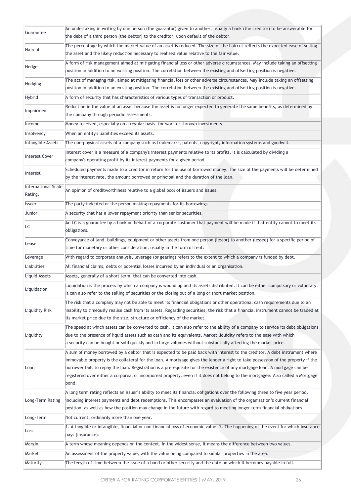| Guarantee                      | An undertaking in writing by one person (the guarantor) given to another, usually a bank (the creditor) to be answerable for<br>the debt of a third person (the debtor) to the creditor, upon default of the debtor.                                                                                                                                                                                                                                                                                                                      |
|--------------------------------|-------------------------------------------------------------------------------------------------------------------------------------------------------------------------------------------------------------------------------------------------------------------------------------------------------------------------------------------------------------------------------------------------------------------------------------------------------------------------------------------------------------------------------------------|
| Haircut                        | The percentage by which the market value of an asset is reduced. The size of the haircut reflects the expected ease of selling<br>the asset and the likely reduction necessary to realised value relative to the fair value.                                                                                                                                                                                                                                                                                                              |
| Hedge                          | A form of risk management aimed at mitigating financial loss or other adverse circumstances. May include taking an offsetting<br>position in addition to an existing position. The correlation between the existing and offsetting position is negative.                                                                                                                                                                                                                                                                                  |
| Hedging                        | The act of managing risk, aimed at mitigating financial loss or other adverse circumstances. May include taking an offsetting<br>position in addition to an existing position. The correlation between the existing and offsetting position is negative.                                                                                                                                                                                                                                                                                  |
| <b>Hybrid</b>                  | A form of security that has characteristics of various types of transaction or product.                                                                                                                                                                                                                                                                                                                                                                                                                                                   |
| Impairment                     | Reduction in the value of an asset because the asset is no longer expected to generate the same benefits, as determined by<br>the company through periodic assessments.                                                                                                                                                                                                                                                                                                                                                                   |
| Income                         | Money received, especially on a regular basis, for work or through investments.                                                                                                                                                                                                                                                                                                                                                                                                                                                           |
| Insolvency                     | When an entity's liabilities exceed its assets.                                                                                                                                                                                                                                                                                                                                                                                                                                                                                           |
| <b>Intangible Assets</b>       | The non-physical assets of a company such as trademarks, patents, copyright, information systems and goodwill.                                                                                                                                                                                                                                                                                                                                                                                                                            |
| Interest Cover                 | Interest cover is a measure of a company's interest payments relative to its profits. It is calculated by dividing a<br>company's operating profit by its interest payments for a given period.                                                                                                                                                                                                                                                                                                                                           |
| Interest                       | Scheduled payments made to a creditor in return for the use of borrowed money. The size of the payments will be determined<br>by the interest rate, the amount borrowed or principal and the duration of the loan.                                                                                                                                                                                                                                                                                                                        |
| International Scale<br>Rating. | An opinion of creditworthiness relative to a global pool of issuers and issues.                                                                                                                                                                                                                                                                                                                                                                                                                                                           |
| <b>Issuer</b>                  | The party indebted or the person making repayments for its borrowings.                                                                                                                                                                                                                                                                                                                                                                                                                                                                    |
| Junior                         | A security that has a lower repayment priority than senior securities.                                                                                                                                                                                                                                                                                                                                                                                                                                                                    |
| LC                             | An LC is a guarantee by a bank on behalf of a corporate customer that payment will be made if that entity cannot to meet its<br>obligations.                                                                                                                                                                                                                                                                                                                                                                                              |
| Lease                          | Conveyance of land, buildings, equipment or other assets from one person (lessor) to another (lessee) for a specific period of<br>time for monetary or other consideration, usually in the form of rent.                                                                                                                                                                                                                                                                                                                                  |
| Leverage                       | With regard to corporate analysis, leverage (or gearing) refers to the extent to which a company is funded by debt.                                                                                                                                                                                                                                                                                                                                                                                                                       |
| Liabilities                    | All financial claims, debts or potential losses incurred by an individual or an organisation.                                                                                                                                                                                                                                                                                                                                                                                                                                             |
| Liquid Assets                  | Assets, generally of a short term, that can be converted into cash.                                                                                                                                                                                                                                                                                                                                                                                                                                                                       |
| Liquidation                    | Liquidation is the process by which a company is wound up and its assets distributed. It can be either compulsory or voluntary.<br>It can also refer to the selling of securities or the closing out of a long or short market position.                                                                                                                                                                                                                                                                                                  |
| Liquidity Risk                 | The risk that a company may not be able to meet its financial obligations or other operational cash requirements due to an<br>inability to timeously realise cash from its assets. Regarding securities, the risk that a financial instrument cannot be traded at<br>its market price due to the size, structure or efficiency of the market.                                                                                                                                                                                             |
| Liquidity                      | The speed at which assets can be converted to cash. It can also refer to the ability of a company to service its debt obligations<br>due to the presence of liquid assets such as cash and its equivalents. Market liquidity refers to the ease with which<br>a security can be bought or sold quickly and in large volumes without substantially affecting the market price.                                                                                                                                                             |
| Loan                           | A sum of money borrowed by a debtor that is expected to be paid back with interest to the creditor. A debt instrument where<br>immovable property is the collateral for the loan. A mortgage gives the lender a right to take possession of the property if the<br>borrower fails to repay the loan. Registration is a prerequisite for the existence of any mortgage loan. A mortgage can be<br>registered over either a corporeal or incorporeal property, even if it does not belong to the mortgagee. Also called a Mortgage<br>bond. |
| Long-Term Rating               | A long term rating reflects an issuer's ability to meet its financial obligations over the following three to five year period,<br>including interest payments and debt redemptions. This encompasses an evaluation of the organisation's current financial<br>position, as well as how the position may change in the future with regard to meeting longer term financial obligations.                                                                                                                                                   |
| Long-Term                      | Not current; ordinarily more than one year.                                                                                                                                                                                                                                                                                                                                                                                                                                                                                               |
| Loss                           | 1. A tangible or intangible, financial or non-financial loss of economic value. 2. The happening of the event for which insurance<br>pays (insurance).                                                                                                                                                                                                                                                                                                                                                                                    |
| Margin                         | A term whose meaning depends on the context. In the widest sense, it means the difference between two values.                                                                                                                                                                                                                                                                                                                                                                                                                             |
| Market                         | An assessment of the property value, with the value being compared to similar properties in the area.                                                                                                                                                                                                                                                                                                                                                                                                                                     |
| Maturity                       | The length of time between the issue of a bond or other security and the date on which it becomes payable in full.                                                                                                                                                                                                                                                                                                                                                                                                                        |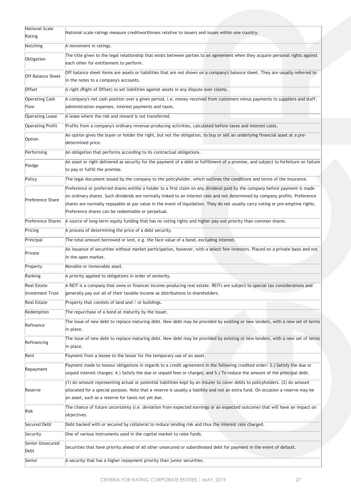| <b>National Scale</b>         | National scale ratings measure creditworthiness relative to issuers and issues within one country.                                                                                                                                                                                                                                                                                                                                                  |
|-------------------------------|-----------------------------------------------------------------------------------------------------------------------------------------------------------------------------------------------------------------------------------------------------------------------------------------------------------------------------------------------------------------------------------------------------------------------------------------------------|
| Rating                        |                                                                                                                                                                                                                                                                                                                                                                                                                                                     |
| Notching                      | A movement in ratings.                                                                                                                                                                                                                                                                                                                                                                                                                              |
| Obligation                    | The title given to the legal relationship that exists between parties to an agreement when they acquire personal rights against<br>each other for entitlement to perform.                                                                                                                                                                                                                                                                           |
| <b>Off Balance Sheet</b>      | Off balance sheet items are assets or liabilities that are not shown on a company's balance sheet. They are usually referred to<br>in the notes to a company's accounts.                                                                                                                                                                                                                                                                            |
| Offset                        | A right (Right of Offset) to set liabilities against assets in any dispute over claims.                                                                                                                                                                                                                                                                                                                                                             |
| <b>Operating Cash</b><br>Flow | A company's net cash position over a given period, i.e. money received from customers minus payments to suppliers and staff,<br>administration expenses, interest payments and taxes.                                                                                                                                                                                                                                                               |
| <b>Operating Lease</b>        | A lease where the risk and reward is not transferred.                                                                                                                                                                                                                                                                                                                                                                                               |
| <b>Operating Profit</b>       | Profits from a company's ordinary revenue-producing activities, calculated before taxes and interest costs.                                                                                                                                                                                                                                                                                                                                         |
| Option                        | An option gives the buyer or holder the right, but not the obligation, to buy or sell an underlying financial asset at a pre-<br>determined price.                                                                                                                                                                                                                                                                                                  |
| Performing                    | An obligation that performs according to its contractual obligations.                                                                                                                                                                                                                                                                                                                                                                               |
| Pledge                        | An asset or right delivered as security for the payment of a debt or fulfillment of a promise, and subject to forfeiture on failure<br>to pay or fulfill the promise.                                                                                                                                                                                                                                                                               |
| Policy                        | The legal document issued by the company to the policyholder, which outlines the conditions and terms of the insurance.                                                                                                                                                                                                                                                                                                                             |
| Preference Share              | Preference or preferred shares entitle a holder to a first claim on any dividend paid by the company before payment is made<br>on ordinary shares. Such dividends are normally linked to an interest rate and not determined by company profits. Preference<br>shares are normally repayable at par value in the event of liquidation. They do not usually carry voting or pre-emptive rights.<br>Preference shares can be redeemable or perpetual. |
| <b>Preference Shares</b>      | A source of long-term equity funding that has no voting rights and higher pay-out priority than common shares.                                                                                                                                                                                                                                                                                                                                      |
| Pricing                       | A process of determining the price of a debt security.                                                                                                                                                                                                                                                                                                                                                                                              |
| Principal                     | The total amount borrowed or lent, e.g. the face value of a bond, excluding interest.                                                                                                                                                                                                                                                                                                                                                               |
| Private                       | An issuance of securities without market participation, however, with a select few investors. Placed on a private basis and not<br>in the open market.                                                                                                                                                                                                                                                                                              |
| Property                      | Movable or immovable asset.                                                                                                                                                                                                                                                                                                                                                                                                                         |
| Ranking                       | A priority applied to obligations in order of seniority.                                                                                                                                                                                                                                                                                                                                                                                            |
| <b>Real Estate</b>            | A REIT is a company that owns or finances income-producing real estate. REITs are subject to special tax considerations and                                                                                                                                                                                                                                                                                                                         |
| <b>Investment Trust</b>       | generally pay out all of their taxable income as distributions to shareholders.                                                                                                                                                                                                                                                                                                                                                                     |
| <b>Real Estate</b>            | Property that consists of land and / or buildings.                                                                                                                                                                                                                                                                                                                                                                                                  |
| Redemption                    | The repurchase of a bond at maturity by the issuer.                                                                                                                                                                                                                                                                                                                                                                                                 |
| Refinance                     | The issue of new debt to replace maturing debt. New debt may be provided by existing or new lenders, with a new set of terms<br>in place.                                                                                                                                                                                                                                                                                                           |
| Refinancing                   | The issue of new debt to replace maturing debt. New debt may be provided by existing or new lenders, with a new set of terms<br>in place.                                                                                                                                                                                                                                                                                                           |
| Rent                          | Payment from a lessee to the lessor for the temporary use of an asset.                                                                                                                                                                                                                                                                                                                                                                              |
| Repayment                     | Payment made to honour obligations in regards to a credit agreement in the following credited order: 3.) Satisfy the due or<br>unpaid interest charges; 4.) Satisfy the due or unpaid fees or charges; and 5.) To reduce the amount of the principal debt.                                                                                                                                                                                          |
| Reserve                       | (1) An amount representing actual or potential liabilities kept by an insurer to cover debts to policyholders. (2) An amount<br>allocated for a special purpose. Note that a reserve is usually a liability and not an extra fund. On occasion a reserve may be<br>an asset, such as a reserve for taxes not yet due.                                                                                                                               |
| Risk                          | The chance of future uncertainty (i.e. deviation from expected earnings or an expected outcome) that will have an impact on<br>objectives.                                                                                                                                                                                                                                                                                                          |
| Secured Debt                  | Debt backed with or secured by collateral to reduce lending risk and thus the interest rate charged.                                                                                                                                                                                                                                                                                                                                                |
| Security                      | One of various instruments used in the capital market to raise funds.                                                                                                                                                                                                                                                                                                                                                                               |
| Senior Unsecured<br>Debt      | Securities that have priority ahead of all other unsecured or subordinated debt for payment in the event of default.                                                                                                                                                                                                                                                                                                                                |
|                               |                                                                                                                                                                                                                                                                                                                                                                                                                                                     |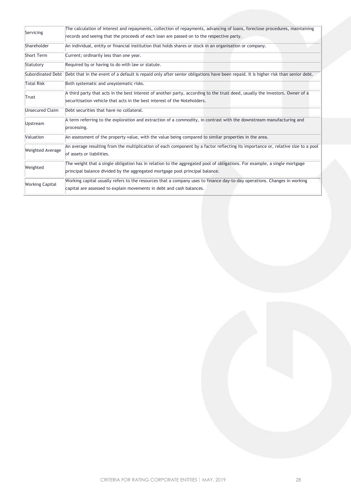| Servicing               | The calculation of interest and repayments, collection of repayments, advancing of loans, foreclose procedures, maintaining<br>records and seeing that the proceeds of each loan are passed on to the respective party. |
|-------------------------|-------------------------------------------------------------------------------------------------------------------------------------------------------------------------------------------------------------------------|
| Shareholder             | An individual, entity or financial institution that holds shares or stock in an organisation or company.                                                                                                                |
| <b>Short Term</b>       | Current; ordinarily less than one year.                                                                                                                                                                                 |
| Statutory               | Required by or having to do with law or statute.                                                                                                                                                                        |
| Subordinated Debt       | Debt that in the event of a default is repaid only after senior obligations have been repaid. It is higher risk than senior debt.                                                                                       |
| <b>Total Risk</b>       | Both systematic and unsystematic risks.                                                                                                                                                                                 |
| Trust                   | A third party that acts in the best interest of another party, according to the trust deed, usually the investors. Owner of a<br>securitisation vehicle that acts in the best interest of the Noteholders.              |
| Unsecured Claim         | Debt securities that have no collateral.                                                                                                                                                                                |
| Upstream                | A term referring to the exploration and extraction of a commodity, in contrast with the downstream manufacturing and<br>processing.                                                                                     |
| Valuation               | An assessment of the property value, with the value being compared to similar properties in the area.                                                                                                                   |
| <b>Weighted Average</b> | An average resulting from the multiplication of each component by a factor reflecting its importance or, relative size to a pool<br>of assets or liabilities.                                                           |
| Weighted                | The weight that a single obligation has in relation to the aggregated pool of obligations. For example, a single mortgage<br>principal balance divided by the aggregated mortgage pool principal balance.               |
| <b>Working Capital</b>  | Working capital usually refers to the resources that a company uses to finance day-to-day operations. Changes in working<br>capital are assessed to explain movements in debt and cash balances.                        |